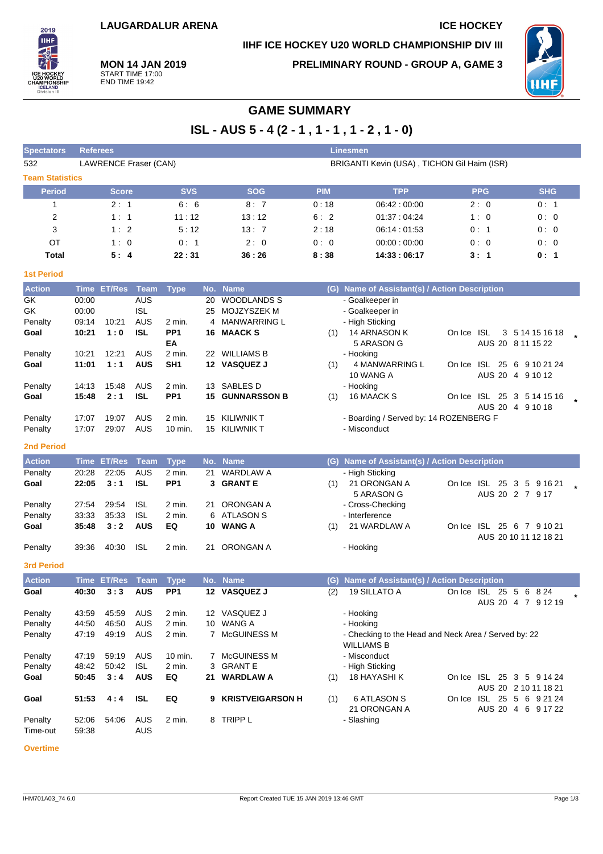### **IIHF ICE HOCKEY U20 WORLD CHAMPIONSHIP DIV III**

**PRELIMINARY ROUND - GROUP A, GAME 3**



**MON 14 JAN 2019** START TIME 17:00 END TIME 19:42

2019 **THE** 

# **GAME SUMMARY**

**ISL - AUS 5 - 4 (2 - 1 , 1 - 1 , 1 - 2 , 1 - 0)**

| <b>Spectators</b>      | Linesmen<br><b>Referees</b> |              |                              |                 |     |                          |            |                                                                           |                            |                                      |  |
|------------------------|-----------------------------|--------------|------------------------------|-----------------|-----|--------------------------|------------|---------------------------------------------------------------------------|----------------------------|--------------------------------------|--|
| 532                    |                             |              | <b>LAWRENCE Fraser (CAN)</b> |                 |     |                          |            | BRIGANTI Kevin (USA), TICHON Gil Haim (ISR)                               |                            |                                      |  |
| <b>Team Statistics</b> |                             |              |                              |                 |     |                          |            |                                                                           |                            |                                      |  |
| <b>Period</b>          |                             | <b>Score</b> |                              | <b>SVS</b>      |     | <b>SOG</b>               | <b>PIM</b> | <b>TPP</b>                                                                | <b>PPG</b>                 | <b>SHG</b>                           |  |
| 1                      |                             | 2:1          |                              | 6:6             |     | 8:7                      | 0:18       | 06:42:00:00                                                               | 2:0                        | 0:1                                  |  |
| 2                      |                             | 1:1          |                              | 11:12           |     | 13:12                    | 6:2        | 01:37:04:24                                                               | 1:0                        | 0:0                                  |  |
| 3                      |                             | 1:2          |                              | 5:12            |     | 13:7                     | 2:18       | 06:14:01:53                                                               | 0:1                        | 0:0                                  |  |
| ОT                     |                             | 1:0          |                              | 0: 1            |     | 2:0                      | 0:0        | 00:00:00:00                                                               | 0:0                        | 0:0                                  |  |
| Total                  |                             | 5:4          |                              | 22:31           |     | 36:26                    | 8:38       | 14:33:06:17                                                               | 3:1                        | 0: 1                                 |  |
| <b>1st Period</b>      |                             |              |                              |                 |     |                          |            |                                                                           |                            |                                      |  |
| <b>Action</b>          |                             | Time ET/Res  | Team                         | <b>Type</b>     |     | No. Name                 |            | (G) Name of Assistant(s) / Action Description                             |                            |                                      |  |
| GK                     | 00:00                       |              | <b>AUS</b>                   |                 | 20  | <b>WOODLANDS S</b>       |            | - Goalkeeper in                                                           |                            |                                      |  |
| GK                     | 00:00                       |              | <b>ISL</b>                   |                 | 25  | MOJZYSZEK M              |            | - Goalkeeper in                                                           |                            |                                      |  |
| Penalty                | 09:14                       | 10:21        | AUS                          | 2 min.          | 4   | <b>MANWARRING L</b>      |            | - High Sticking                                                           |                            |                                      |  |
| Goal                   | 10:21                       | 1:0          | <b>ISL</b>                   | PP1<br>EA       |     | 16 MAACK S               | (1)        | 14 ARNASON K<br>5 ARASON G                                                | On Ice ISL                 | 3 5 14 15 16 18<br>AUS 20 8 11 15 22 |  |
| Penalty                | 10:21                       | 12:21        | AUS                          | 2 min.          |     | 22 WILLIAMS B            |            | - Hooking                                                                 |                            |                                      |  |
| Goal                   | 11:01                       | 1:1          | <b>AUS</b>                   | SH <sub>1</sub> |     | 12 VASQUEZ J             | (1)        | 4 MANWARRING L                                                            | On Ice ISL 25 6 9 10 21 24 |                                      |  |
|                        |                             |              |                              |                 |     |                          |            | 10 WANG A                                                                 |                            | AUS 20 4 9 10 12                     |  |
| Penalty                | 14:13                       | 15:48        | AUS                          | 2 min.          |     | 13 SABLES D              |            | - Hooking                                                                 |                            |                                      |  |
| Goal                   | 15:48                       | 2:1          | <b>ISL</b>                   | PP <sub>1</sub> |     | 15 GUNNARSSON B          | (1)        | 16 MAACK S                                                                | On Ice ISL 25 3 5 14 15 16 |                                      |  |
| Penalty                | 17:07                       | 19:07        | <b>AUS</b>                   | 2 min.          |     | 15 KILIWNIK T            |            | - Boarding / Served by: 14 ROZENBERG F                                    |                            | AUS 20 4 9 10 18                     |  |
| Penalty                | 17:07                       | 29:07        | AUS                          | 10 min.         |     | 15 KILIWNIK T            |            | - Misconduct                                                              |                            |                                      |  |
| <b>2nd Period</b>      |                             |              |                              |                 |     |                          |            |                                                                           |                            |                                      |  |
| <b>Action</b>          |                             | Time ET/Res  | Team                         | <b>Type</b>     | No. | <b>Name</b>              |            | (G) Name of Assistant(s) / Action Description                             |                            |                                      |  |
| Penalty                | 20:28                       | 22:05        | <b>AUS</b>                   | 2 min.          | 21  | <b>WARDLAW A</b>         |            | - High Sticking                                                           |                            |                                      |  |
| Goal                   | 22:05                       | 3:1          | <b>ISL</b>                   | PP <sub>1</sub> |     | 3 GRANTE                 | (1)        | 21 ORONGAN A                                                              | On Ice ISL 25 3 5 9 16 21  |                                      |  |
|                        |                             |              |                              |                 |     |                          |            | 5 ARASON G                                                                |                            | AUS 20 2 7 9 17                      |  |
| Penalty                | 27:54                       | 29:54        | <b>ISL</b>                   | 2 min.          | 21. | ORONGAN A                |            | - Cross-Checking                                                          |                            |                                      |  |
| Penalty<br>Goal        | 33:33<br>35:48              | 35:33<br>3:2 | <b>ISL</b><br><b>AUS</b>     | 2 min.<br>EQ    |     | 6 ATLASON S<br>10 WANG A |            | - Interference<br>21 WARDLAW A                                            | On Ice ISL 25 6 7 9 10 21  |                                      |  |
|                        |                             |              |                              |                 |     |                          | (1)        |                                                                           |                            | AUS 20 10 11 12 18 21                |  |
| Penalty                | 39:36                       | 40:30        | <b>ISL</b>                   | 2 min.          | 21  | ORONGAN A                |            | - Hooking                                                                 |                            |                                      |  |
| <b>3rd Period</b>      |                             |              |                              |                 |     |                          |            |                                                                           |                            |                                      |  |
| <b>Action</b>          |                             | Time ET/Res  | <b>Team</b>                  | <b>Type</b>     |     | No. Name                 |            | (G) Name of Assistant(s) / Action Description                             |                            |                                      |  |
| Goal                   | 40:30                       | 3:3          | <b>AUS</b>                   | PP <sub>1</sub> |     | 12 VASQUEZ J             | (2)        | 19 SILLATO A                                                              | On Ice ISL 25 5 6 8 24     |                                      |  |
|                        |                             |              |                              |                 |     |                          |            |                                                                           |                            | AUS 20 4 7 9 12 19                   |  |
| Penalty                | 43:59                       | 45:59        | AUS                          | 2 min.          |     | 12 VASQUEZ J             |            | - Hooking                                                                 |                            |                                      |  |
| Penalty                | 44:50                       | 46:50        | AUS                          | 2 min.          |     | 10 WANG A                |            | - Hooking                                                                 |                            |                                      |  |
| Penalty                | 47:19                       | 49:19        | AUS                          | 2 min.          |     | 7 McGUINESS M            |            | - Checking to the Head and Neck Area / Served by: 22<br><b>WILLIAMS B</b> |                            |                                      |  |
| Penalty                | 47:19                       | 59:19        | AUS                          | 10 min.         | 7   | McGUINESS M              |            | - Misconduct                                                              |                            |                                      |  |
| Penalty                | 48:42                       | 50:42        | <b>ISL</b>                   | 2 min.          |     | 3 GRANT E                |            | - High Sticking                                                           |                            |                                      |  |
| Goal                   | 50:45                       | 3:4          | <b>AUS</b>                   | EQ              | 21  | <b>WARDLAW A</b>         | (1)        | 18 HAYASHI K                                                              | On Ice ISL 25 3 5 9 14 24  |                                      |  |
|                        |                             |              |                              |                 |     |                          |            |                                                                           |                            | AUS 20 2 10 11 18 21                 |  |
| Goal                   | 51:53                       | 4:4          | <b>ISL</b>                   | EQ              | 9   | <b>KRISTVEIGARSON H</b>  | (1)        | <b>6 ATLASON S</b><br>21 ORONGAN A                                        | On Ice ISL 25 5 6 9 21 24  | AUS 20 4 6 9 17 22                   |  |
| Penalty                | 52:06                       | 54:06        | AUS                          | 2 min.          |     | 8 TRIPP L                |            | - Slashing                                                                |                            |                                      |  |
| Time-out               | 59:38                       |              | AUS                          |                 |     |                          |            |                                                                           |                            |                                      |  |
|                        |                             |              |                              |                 |     |                          |            |                                                                           |                            |                                      |  |

**Overtime**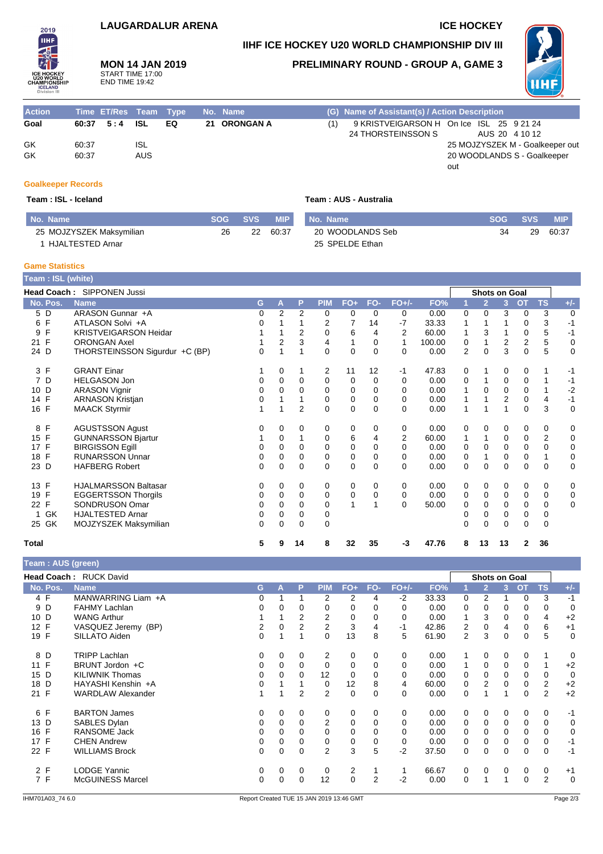### **LAUGARDALUR ARENA ICE HOCKEY**

**IIHF ICE HOCKEY U20 WORLD CHAMPIONSHIP DIV III**

**MON 14 JAN 2019** START TIME 17:00 END TIME 19:42

### **PRELIMINARY ROUND - GROUP A, GAME 3**



| <b>Action</b> |       | Time ET/Res Team Type |     |     | No. Name     |     | (G) Name of Assistant(s) / Action Description |                                          |
|---------------|-------|-----------------------|-----|-----|--------------|-----|-----------------------------------------------|------------------------------------------|
| Goal          |       | $60:37$ $5:4$ ISL     |     | EQ. | 21 ORONGAN A | (1) |                                               | 9 KRISTVEIGARSON H On Ice ISL 25 9 21 24 |
|               |       |                       |     |     |              |     | 24 THORSTEINSSON S                            | AUS 20 4 10 12                           |
| GK            | 60:37 |                       | ISL |     |              |     |                                               | 25 MOJZYSZEK M - Goalkeeper out          |
| GK            | 60:37 |                       | AUS |     |              |     |                                               | 20 WOODLANDS S - Goalkeeper              |
|               |       |                       |     |     |              |     |                                               | out                                      |

#### **Goalkeeper Records**

2019 **IIHF** 

#### $Team : ISL - Iceland$

|  |  | Team : AUS - Australia |
|--|--|------------------------|
|--|--|------------------------|

| No. Name                 | <b>SOG</b> | SVS 4 | MIP I | <b>No. Name</b>  | <b>SOG</b> | <b>SVS</b> | <b>MIP</b> |
|--------------------------|------------|-------|-------|------------------|------------|------------|------------|
| 25 MOJZYSZEK Maksymilian | 26         | 22    | 60.37 | 20 WOODLANDS Seb | 34         | 29         | 60:37      |
| HJALTESTED Arnar         |            |       |       | 25 SPELDE Ethan  |            |            |            |

#### **Game Statistics**

| Team : ISL (white)  |                                   |   |                |                |            |             |          |          |        |              |                      |             |             |                |             |
|---------------------|-----------------------------------|---|----------------|----------------|------------|-------------|----------|----------|--------|--------------|----------------------|-------------|-------------|----------------|-------------|
|                     | <b>Head Coach: SIPPONEN Jussi</b> |   |                |                |            |             |          |          |        |              | <b>Shots on Goal</b> |             |             |                |             |
| No. Pos.            | <b>Name</b>                       | G | A              | P              | <b>PIM</b> | $FO+$       | FO-      | $FO+/-$  | FO%    |              | $\overline{2}$       | 3           | <b>OT</b>   | <b>TS</b>      | $+/-$       |
| 5 D                 | ARASON Gunnar +A                  | 0 | $\overline{2}$ | $\overline{2}$ | 0          | 0           | 0        | 0        | 0.00   | 0            | 0                    | 3           | 0           | 3              | $\mathbf 0$ |
| F<br>6              | ATLASON Solvi +A                  | 0 |                |                | 2          | 7           | 14       | $-7$     | 33.33  | 1            |                      |             | 0           | 3              | $-1$        |
| F<br>9              | KRISTVEIGARSON Heidar             |   |                | 2              | 0          | 6           | 4        | 2        | 60.00  |              | 3                    |             | 0           | 5              | $-1$        |
| F<br>21             | <b>ORONGAN Axel</b>               |   | 2              | 3              | 4          | 1           | 0        | 1        | 100.00 | 0            |                      | 2           | 2           | 5              | $\mathbf 0$ |
| 24 D                | THORSTEINSSON Sigurdur +C (BP)    | 0 |                | 1              | 0          | $\Omega$    | 0        | 0        | 0.00   | 2            | $\Omega$             | 3           | $\Omega$    | 5              | 0           |
| 3 F                 | <b>GRANT Einar</b>                |   | 0              | 1              | 2          | 11          | 12       | $-1$     | 47.83  | 0            |                      | 0           | 0           |                | -1          |
| $\overline{7}$<br>D | <b>HELGASON Jon</b>               | 0 | $\Omega$       | $\Omega$       | 0          | 0           | $\Omega$ | $\Omega$ | 0.00   | 0            |                      | $\mathbf 0$ | 0           |                | $-1$        |
| 10 D                | <b>ARASON Vignir</b>              | 0 | 0              | $\Omega$       | $\Omega$   | 0           | 0        | $\Omega$ | 0.00   | 1            | 0                    | $\Omega$    | $\mathbf 0$ |                | $-2$        |
| 14 F                | <b>ARNASON Kristjan</b>           | 0 |                |                | 0          | 0           | 0        | $\Omega$ | 0.00   | 1            |                      | 2           | $\mathbf 0$ | $\overline{4}$ | $-1$        |
| 16 F                | <b>MAACK Styrmir</b>              |   |                | $\overline{2}$ | 0          | $\Omega$    | 0        | 0        | 0.00   | $\mathbf{1}$ |                      | 1           | $\Omega$    | 3              | $\mathbf 0$ |
| F<br>8              | <b>AGUSTSSON Agust</b>            | 0 | 0              | $\Omega$       | 0          | 0           | $\Omega$ | 0        | 0.00   | 0            | 0                    | 0           | 0           | 0              | 0           |
| 15 F                | <b>GUNNARSSON Bjartur</b>         |   | 0              |                | 0          | 6           | 4        | 2        | 60.00  | 1            |                      | 0           | $\mathbf 0$ | $\overline{2}$ | $\mathbf 0$ |
| 17<br>F             | <b>BIRGISSON Egill</b>            | 0 | $\Omega$       | $\Omega$       | 0          | 0           | $\Omega$ | 0        | 0.00   | 0            | $\Omega$             | $\Omega$    | 0           | $\Omega$       | 0           |
| $\mathsf{F}$<br>18  | <b>RUNARSSON Unnar</b>            | 0 | 0              | 0              | 0          | $\mathbf 0$ | 0        | $\Omega$ | 0.00   | 0            |                      | $\mathbf 0$ | $\mathbf 0$ |                | $\mathbf 0$ |
| 23 D                | <b>HAFBERG Robert</b>             | 0 | 0              | $\Omega$       | 0          | 0           | 0        | 0        | 0.00   | 0            | 0                    | 0           | $\Omega$    | 0              | $\mathbf 0$ |
| 13<br>F             | <b>HJALMARSSON Baltasar</b>       | 0 | 0              | 0              | 0          | 0           | 0        | 0        | 0.00   | 0            | 0                    | 0           | 0           | 0              | 0           |
| $\mathsf{F}$<br>19  | <b>EGGERTSSON Thorgils</b>        | 0 | 0              | $\Omega$       | 0          | 0           | 0        | $\Omega$ | 0.00   | 0            | 0                    | $\Omega$    | 0           | 0              | 0           |
| $\mathsf{F}$<br>22  | SONDRUSON Omar                    | 0 | 0              | $\Omega$       | 0          | 1           |          | 0        | 50.00  | 0            | 0                    | $\Omega$    | 0           | 0              | 0           |
| GK<br>1             | <b>HJALTESTED Arnar</b>           | 0 | 0              | 0              | 0          |             |          |          |        | 0            | $\Omega$             | $\Omega$    | 0           | 0              |             |
| 25 GK               | MOJZYSZEK Maksymilian             | 0 | $\Omega$       | $\Omega$       | 0          |             |          |          |        | $\Omega$     | $\Omega$             | $\Omega$    | $\Omega$    | $\Omega$       |             |
| Total               |                                   | 5 | 9              | 14             | 8          | 32          | 35       | -3       | 47.76  | 8            | 13                   | 13          | 2           | 36             |             |

| Team : AUS (green) |                               |    |             |                |                |             |                |          |       |                      |                |   |           |                |                |
|--------------------|-------------------------------|----|-------------|----------------|----------------|-------------|----------------|----------|-------|----------------------|----------------|---|-----------|----------------|----------------|
|                    | <b>Head Coach: RUCK David</b> |    |             |                |                |             |                |          |       | <b>Shots on Goal</b> |                |   |           |                |                |
| No. Pos.           | <b>Name</b>                   | G. | А           | P              | <b>PIM</b>     | $FO+$       | FO-            | $FO+/-$  | FO%   |                      | $\overline{2}$ | 3 | <b>OT</b> | TS             | $+/-$          |
| 4 F                | MANWARRING Liam +A            | 0  |             |                | 2              | 2           | 4              | $-2$     | 33.33 | 0                    | 2              |   | 0         | 3              | $-1$           |
| 9 D                | <b>FAHMY Lachlan</b>          | 0  | 0           | 0              | 0              | 0           | 0              | 0        | 0.00  | 0                    | 0              | 0 | 0         | 0              | 0              |
| 10 D               | <b>WANG Arthur</b>            |    |             | 2              | 2              | 0           | 0              | 0        | 0.00  | 1                    | 3              | 0 | 0         | 4              | $+2$           |
| 12 F               | VASQUEZ Jeremy (BP)           | 2  |             | $\overline{2}$ | 2              | 3           | 4              | -1       | 42.86 | 2                    | 0              | 4 | 0         | 6              | $+1$           |
| 19 F               | SILLATO Aiden                 | 0  |             |                | $\mathbf 0$    | 13          | 8              | 5        | 61.90 | 2                    | 3              | 0 | 0         | 5              | 0              |
| 8 D                | <b>TRIPP Lachlan</b>          | 0  | 0           | 0              | 2              | 0           | 0              | 0        | 0.00  | 1                    | 0              | 0 | 0         | 1              | 0              |
| 11 F               | BRUNT Jordon +C               | 0  | 0           | $\mathbf 0$    | 0              | 0           | $\mathbf 0$    | 0        | 0.00  | 1                    | $\mathbf 0$    | 0 | 0         | $\mathbf{1}$   | $+2$           |
| 15 D               | <b>KILIWNIK Thomas</b>        | 0  | 0           | 0              | 12             | 0           | 0              | 0        | 0.00  | 0                    | 0              | 0 | 0         | 0              | $\overline{0}$ |
| 18 D               | HAYASHI Kenshin +A            | 0  |             |                | 0              | 12          | 8              | 4        | 60.00 | 0                    | $\overline{2}$ | 0 | 0         | $\overline{c}$ | $+2$           |
| 21 F               | <b>WARDLAW Alexander</b>      |    | 1           | $\overline{2}$ | $\overline{2}$ | 0           | $\mathbf 0$    | 0        | 0.00  | 0                    |                | 1 | 0         | $\overline{2}$ | $+2$           |
| 6 F                | <b>BARTON James</b>           | 0  | 0           | 0              | 0              | 0           | 0              | 0        | 0.00  | $\mathbf 0$          | 0              | 0 | 0         | 0              | $-1$           |
| 13 D               | SABLES Dylan                  | 0  | $\Omega$    | $\mathbf 0$    | $\overline{2}$ | 0           | $\Omega$       | $\Omega$ | 0.00  | $\mathbf 0$          | 0              | 0 | 0         | 0              | 0              |
| 16 F               | <b>RANSOME Jack</b>           | 0  | $\Omega$    | 0              | 0              | 0           | $\Omega$       | $\Omega$ | 0.00  | 0                    | 0              | 0 | 0         | 0              | 0              |
| 17 F               | <b>CHEN Andrew</b>            | 0  | 0           | 0              | 0              | 0           | 0              | 0        | 0.00  | 0                    | 0              | 0 | 0         | 0              | $-1$           |
| 22 F               | <b>WILLIAMS Brock</b>         | 0  | $\mathbf 0$ | $\mathbf 0$    | $\overline{2}$ | 3           | 5              | $-2$     | 37.50 | 0                    | $\mathbf 0$    | 0 | 0         | 0              | $-1$           |
| 2 F                | <b>LODGE Yannic</b>           | 0  | 0           | 0              | 0              | 2           |                |          | 66.67 | 0                    | 0              | 0 | 0         | 0              | $+1$           |
| 7 F                | <b>McGUINESS Marcel</b>       | 0  | $\Omega$    | 0              | 12             | $\mathbf 0$ | $\overline{2}$ | -2       | 0.00  | 0                    |                |   | 0         | $\overline{2}$ | $\mathbf 0$    |